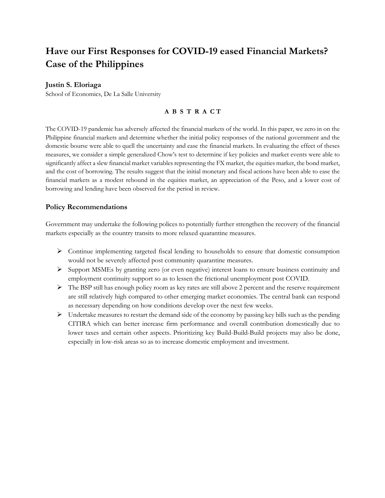# **Have our First Responses for COVID-19 eased Financial Markets? Case of the Philippines**

## **Justin S. Eloriaga**

School of Economics, De La Salle University

### **A B S T R A C T**

The COVID-19 pandemic has adversely affected the financial markets of the world. In this paper, we zero in on the Philippine financial markets and determine whether the initial policy responses of the national government and the domestic bourse were able to quell the uncertainty and ease the financial markets. In evaluating the effect of theses measures, we consider a simple generalized Chow's test to determine if key policies and market events were able to significantly affect a slew financial market variables representing the FX market, the equities market, the bond market, and the cost of borrowing. The results suggest that the initial monetary and fiscal actions have been able to ease the financial markets as a modest rebound in the equities market, an appreciation of the Peso, and a lower cost of borrowing and lending have been observed for the period in review.

## **Policy Recommendations**

Government may undertake the following polices to potentially further strengthen the recovery of the financial markets especially as the country transits to more relaxed quarantine measures.

- $\triangleright$  Continue implementing targeted fiscal lending to households to ensure that domestic consumption would not be severely affected post community quarantine measures.
- Ø Support MSMEs by granting zero (or even negative) interest loans to ensure business continuity and employment continuity support so as to lessen the frictional unemployment post COVID.
- $\triangleright$  The BSP still has enough policy room as key rates are still above 2 percent and the reserve requirement are still relatively high compared to other emerging market economies. The central bank can respond as necessary depending on how conditions develop over the next few weeks.
- $\triangleright$  Undertake measures to restart the demand side of the economy by passing key bills such as the pending CITIRA which can better increase firm performance and overall contribution domestically due to lower taxes and certain other aspects. Prioritizing key Build-Build-Build projects may also be done, especially in low-risk areas so as to increase domestic employment and investment.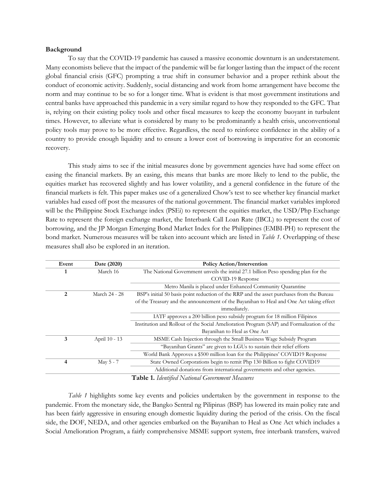#### **Background**

To say that the COVID-19 pandemic has caused a massive economic downturn is an understatement. Many economists believe that the impact of the pandemic will be far longer lasting than the impact of the recent global financial crisis (GFC) prompting a true shift in consumer behavior and a proper rethink about the conduct of economic activity. Suddenly, social distancing and work from home arrangement have become the norm and may continue to be so for a longer time. What is evident is that most government institutions and central banks have approached this pandemic in a very similar regard to how they responded to the GFC. That is, relying on their existing policy tools and other fiscal measures to keep the economy buoyant in turbulent times. However, to alleviate what is considered by many to be predominantly a health crisis, unconventional policy tools may prove to be more effective. Regardless, the need to reinforce confidence in the ability of a country to provide enough liquidity and to ensure a lower cost of borrowing is imperative for an economic recovery.

This study aims to see if the initial measures done by government agencies have had some effect on easing the financial markets. By an easing, this means that banks are more likely to lend to the public, the equities market has recovered slightly and has lower volatility, and a general confidence in the future of the financial markets is felt. This paper makes use of a generalized Chow's test to see whether key financial market variables had eased off post the measures of the national government. The financial market variables implored will be the Philippine Stock Exchange index (PSEi) to represent the equities market, the USD/Php Exchange Rate to represent the foreign exchange market, the Interbank Call Loan Rate (IBCL) to represent the cost of borrowing, and the JP Morgan Emerging Bond Market Index for the Philippines (EMBI-PH) to represent the bond market. Numerous measures will be taken into account which are listed in *Table 1*. Overlapping of these measures shall also be explored in an iteration.

| Event | Date (2020)   | <b>Policy Action/Intervention</b>                                                         |
|-------|---------------|-------------------------------------------------------------------------------------------|
|       | March 16      | The National Government unveils the initial 27.1 billion Peso spending plan for the       |
|       |               | COVID-19 Response                                                                         |
|       |               | Metro Manila is placed under Enhanced Community Quarantine                                |
| 2     | March 24 - 28 | BSP's initial 50 basis point reduction of the RRP and the asset purchases from the Bureau |
|       |               | of the Treasury and the announcement of the Bayanihan to Heal and One Act taking effect   |
|       |               | immediately.                                                                              |
|       |               | IATF approves a 200 billion peso subsidy program for 18 million Filipinos                 |
|       |               | Institution and Rollout of the Social Amelioration Program (SAP) and Formalization of the |
|       |               | Bayanihan to Heal as One Act                                                              |
| 3     | April 10 - 13 | MSME Cash Injection through the Small Business Wage Subsidy Program                       |
|       |               | "Bayanihan Grants" are given to LGUs to sustain their relief efforts                      |
|       |               | World Bank Approves a \$500 million loan for the Philippines' COVID19 Response            |
| 4     | May 5 - 7     | State Owned Corporations begin to remit Php 130 Billion to fight COVID19                  |
|       |               | Additional donations from international governments and other agencies.                   |
|       |               | Table 1. Identified National Government Measures                                          |

*Table 1* highlights some key events and policies undertaken by the government in response to the pandemic. From the monetary side, the Bangko Sentral ng Pilipinas (BSP) has lowered its main policy rate and has been fairly aggressive in ensuring enough domestic liquidity during the period of the crisis. On the fiscal side, the DOF, NEDA, and other agencies embarked on the Bayanihan to Heal as One Act which includes a Social Amelioration Program, a fairly comprehensive MSME support system, free interbank transfers, waived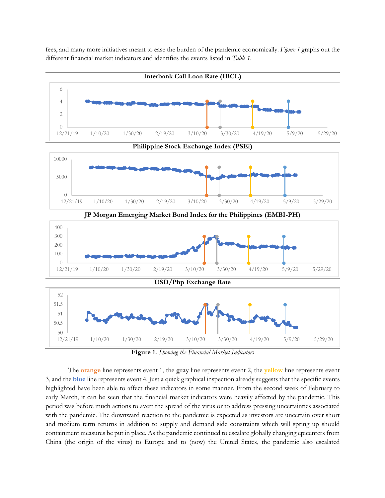fees, and many more initiatives meant to ease the burden of the pandemic economically. *Figure 1* graphs out the different financial market indicators and identifies the events listed in *Table 1*.



**Figure 1.** *Showing the Financial Market Indicators*

The **orange** line represents event 1, the **gray** line represents event 2, the **yellow** line represents event 3, and the **blue** line represents event 4. Just a quick graphical inspection already suggests that the specific events highlighted have been able to affect these indicators in some manner. From the second week of February to early March, it can be seen that the financial market indicators were heavily affected by the pandemic. This period was before much actions to avert the spread of the virus or to address pressing uncertainties associated with the pandemic. The downward reaction to the pandemic is expected as investors are uncertain over short and medium term returns in addition to supply and demand side constraints which will spring up should containment measures be put in place. As the pandemic continued to escalate globally changing epicenters from China (the origin of the virus) to Europe and to (now) the United States, the pandemic also escalated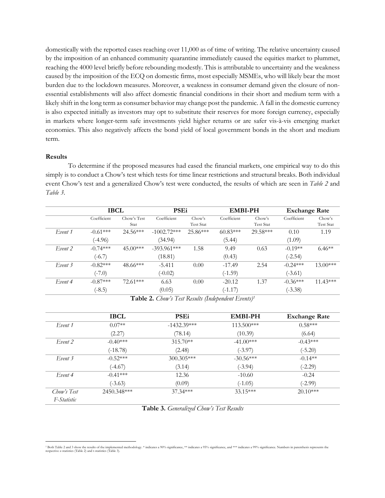domestically with the reported cases reaching over 11,000 as of time of writing. The relative uncertainty caused by the imposition of an enhanced community quarantine immediately caused the equities market to plummet, reaching the 4000 level briefly before rebounding modestly. This is attributable to uncertainty and the weakness caused by the imposition of the ECQ on domestic firms, most especially MSMEs, who will likely bear the most burden due to the lockdown measures. Moreover, a weakness in consumer demand given the closure of nonessential establishments will also affect domestic financial conditions in their short and medium term with a likely shift in the long term as consumer behavior may change post the pandemic. A fall in the domestic currency is also expected initially as investors may opt to substitute their reserves for more foreign currency, especially in markets where longer-term safe investments yield higher returns or are safer vis-à-vis emerging market economies. This also negatively affects the bond yield of local government bonds in the short and medium term.

#### **Results**

To determine if the proposed measures had eased the financial markets, one empirical way to do this simply is to conduct a Chow's test which tests for time linear restrictions and structural breaks. Both individual event Chow's test and a generalized Chow's test were conducted, the results of which are seen in *Table 2* and *Table 3*.

| Event 1 | Coefficient<br>$-0.61***$ | Chow's Test<br>Stat<br>$24.56***$ | Coefficient   | Chow's<br><b>Test Stat</b> | Coefficient | Chow's           | Coefficient | Chow's           |
|---------|---------------------------|-----------------------------------|---------------|----------------------------|-------------|------------------|-------------|------------------|
|         |                           |                                   |               |                            |             |                  |             |                  |
|         |                           |                                   |               |                            |             | <b>Test Stat</b> |             | <b>Test Stat</b> |
|         |                           |                                   | $-1002.72***$ | $25.86***$                 | $60.83***$  | 29.58***         | 0.10        | 1.19             |
|         | $(-4.96)$                 |                                   | (34.94)       |                            | (5.44)      |                  | (1.09)      |                  |
| Event 2 | $-0.74***$                | $45.00***$                        | $-393.961***$ | 1.58                       | 9.49        | 0.63             | $-0.19**$   | $6.46**$         |
|         | $(-6.7)$                  |                                   | (18.81)       |                            | (0.43)      |                  | $(-2.54)$   |                  |
| Event 3 | $-0.82***$                | 48.66***                          | $-5.411$      | 0.00                       | $-17.49$    | 2.54             | $-0.24***$  | $13.00***$       |
|         | $(-7.0)$                  |                                   | $(-0.02)$     |                            | $(-1.59)$   |                  | $(-3.61)$   |                  |
| Event 4 | $-0.87***$                | $72.61***$                        | 6.63          | 0.00                       | $-20.12$    | 1.37             | $-0.36***$  | $11.43***$       |
|         | $(-8.5)$                  |                                   | (0.05)        |                            | $(-1.17)$   |                  | $(-3.38)$   |                  |

**Table 2.** *Chow's Test Results (Independent Events)1*

|             | <b>IBCL</b> | <b>PSEi</b>   | <b>EMBI-PH</b> | <b>Exchange Rate</b> |
|-------------|-------------|---------------|----------------|----------------------|
| Event 1     | $0.07**$    | $-1432.39***$ | $113.500***$   | $0.58***$            |
|             | (2.27)      | (78.14)       | (10.39)        | (6.64)               |
| Event 2     | $-0.40***$  | $315.70**$    | $-41.00***$    | $-0.43***$           |
|             | $(-18.78)$  | (2.48)        | $(-3.97)$      | $(-5.20)$            |
| Event 3     | $-0.52***$  | $300.305***$  | $-30.56***$    | $-0.14**$            |
|             | $(-4.67)$   | (3.14)        | $(-3.94)$      | $(-2.29)$            |
| Event 4     | $-0.41***$  | 12.36         | $-10.60$       | $-0.24$              |
|             | $(-3.63)$   | (0.09)        | $(-1.05)$      | $(-2.99)$            |
| Chow's Test | 2450.348*** | $37.34***$    | $33.15***$     | $20.10***$           |
| F-Statistic |             |               |                |                      |

**Table 3.** *Generalized Chow's Test Results*

<sup>1</sup> Both Table 2 and 3 show the results of the implemented methodology. \* indicates a 90% significance, \*\* indicates a 95% significance, and \*\*\* indicates a 99% significance. Numbers in parenthesis represents the respective z-statistics (Table 2) and t-statistics (Table 3).